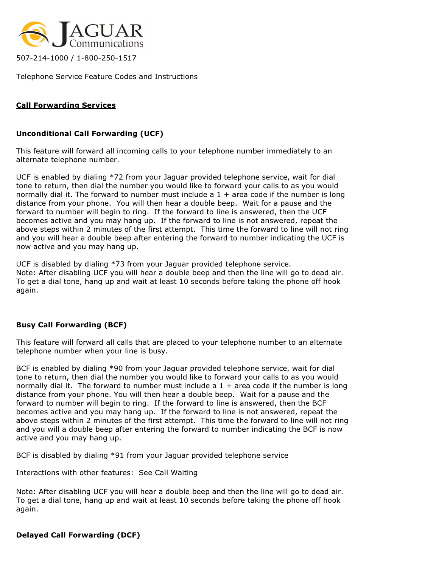

507-214-1000 / 1-800-250-1517

Telephone Service Feature Codes and Instructions

## Call Forwarding Services

## Unconditional Call Forwarding (UCF)

This feature will forward all incoming calls to your telephone number immediately to an alternate telephone number.

UCF is enabled by dialing \*72 from your Jaguar provided telephone service, wait for dial tone to return, then dial the number you would like to forward your calls to as you would normally dial it. The forward to number must include a 1 + area code if the number is long distance from your phone. You will then hear a double beep. Wait for a pause and the forward to number will begin to ring. If the forward to line is answered, then the UCF becomes active and you may hang up. If the forward to line is not answered, repeat the above steps within 2 minutes of the first attempt. This time the forward to line will not ring and you will hear a double beep after entering the forward to number indicating the UCF is now active and you may hang up.

UCF is disabled by dialing \*73 from your Jaguar provided telephone service. Note: After disabling UCF you will hear a double beep and then the line will go to dead air. To get a dial tone, hang up and wait at least 10 seconds before taking the phone off hook again.

## Busy Call Forwarding (BCF)

This feature will forward all calls that are placed to your telephone number to an alternate telephone number when your line is busy.

BCF is enabled by dialing \*90 from your Jaguar provided telephone service, wait for dial tone to return, then dial the number you would like to forward your calls to as you would normally dial it. The forward to number must include a  $1 +$  area code if the number is long distance from your phone. You will then hear a double beep. Wait for a pause and the forward to number will begin to ring. If the forward to line is answered, then the BCF becomes active and you may hang up. If the forward to line is not answered, repeat the above steps within 2 minutes of the first attempt. This time the forward to line will not ring and you will a double beep after entering the forward to number indicating the BCF is now active and you may hang up.

BCF is disabled by dialing \*91 from your Jaguar provided telephone service

Interactions with other features: See Call Waiting

Note: After disabling UCF you will hear a double beep and then the line will go to dead air. To get a dial tone, hang up and wait at least 10 seconds before taking the phone off hook again.

Delayed Call Forwarding (DCF)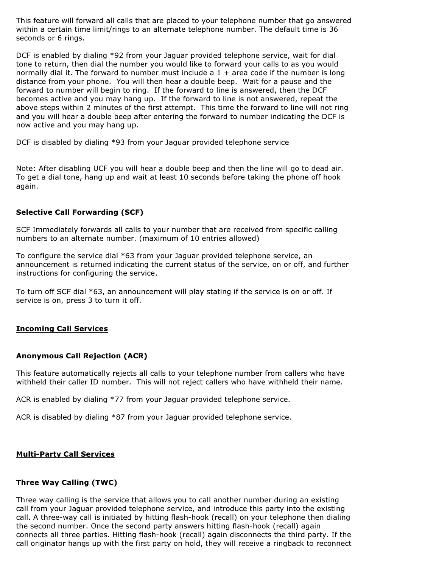This feature will forward all calls that are placed to your telephone number that go answered within a certain time limit/rings to an alternate telephone number. The default time is 36 seconds or 6 rings.

DCF is enabled by dialing \*92 from your Jaguar provided telephone service, wait for dial tone to return, then dial the number you would like to forward your calls to as you would normally dial it. The forward to number must include a  $1 +$  area code if the number is long distance from your phone. You will then hear a double beep. Wait for a pause and the forward to number will begin to ring. If the forward to line is answered, then the DCF becomes active and you may hang up. If the forward to line is not answered, repeat the above steps within 2 minutes of the first attempt. This time the forward to line will not ring and you will hear a double beep after entering the forward to number indicating the DCF is now active and you may hang up.

DCF is disabled by dialing \*93 from your Jaguar provided telephone service

Note: After disabling UCF you will hear a double beep and then the line will go to dead air. To get a dial tone, hang up and wait at least 10 seconds before taking the phone off hook again.

## Selective Call Forwarding (SCF)

SCF Immediately forwards all calls to your number that are received from specific calling numbers to an alternate number. (maximum of 10 entries allowed)

To configure the service dial \*63 from your Jaguar provided telephone service, an announcement is returned indicating the current status of the service, on or off, and further instructions for configuring the service.

To turn off SCF dial \*63, an announcement will play stating if the service is on or off. If service is on, press 3 to turn it off.

## Incoming Call Services

## Anonymous Call Rejection (ACR)

This feature automatically rejects all calls to your telephone number from callers who have withheld their caller ID number. This will not reject callers who have withheld their name.

ACR is enabled by dialing \*77 from your Jaguar provided telephone service.

ACR is disabled by dialing \*87 from your Jaguar provided telephone service.

## Multi-Party Call Services

## Three Way Calling (TWC)

Three way calling is the service that allows you to call another number during an existing call from your Jaguar provided telephone service, and introduce this party into the existing call. A three-way call is initiated by hitting flash-hook (recall) on your telephone then dialing the second number. Once the second party answers hitting flash-hook (recall) again connects all three parties. Hitting flash-hook (recall) again disconnects the third party. If the call originator hangs up with the first party on hold, they will receive a ringback to reconnect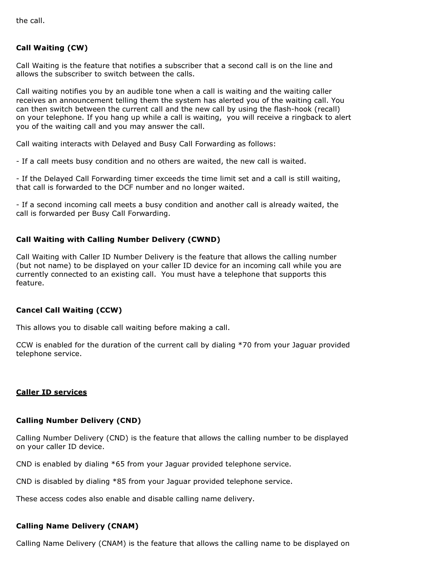the call.

# Call Waiting (CW)

Call Waiting is the feature that notifies a subscriber that a second call is on the line and allows the subscriber to switch between the calls.

Call waiting notifies you by an audible tone when a call is waiting and the waiting caller receives an announcement telling them the system has alerted you of the waiting call. You can then switch between the current call and the new call by using the flash-hook (recall) on your telephone. If you hang up while a call is waiting, you will receive a ringback to alert you of the waiting call and you may answer the call.

Call waiting interacts with Delayed and Busy Call Forwarding as follows:

- If a call meets busy condition and no others are waited, the new call is waited.

- If the Delayed Call Forwarding timer exceeds the time limit set and a call is still waiting, that call is forwarded to the DCF number and no longer waited.

- If a second incoming call meets a busy condition and another call is already waited, the call is forwarded per Busy Call Forwarding.

### Call Waiting with Calling Number Delivery (CWND)

Call Waiting with Caller ID Number Delivery is the feature that allows the calling number (but not name) to be displayed on your caller ID device for an incoming call while you are currently connected to an existing call. You must have a telephone that supports this feature.

### Cancel Call Waiting (CCW)

This allows you to disable call waiting before making a call.

CCW is enabled for the duration of the current call by dialing \*70 from your Jaguar provided telephone service.

#### Caller ID services

#### Calling Number Delivery (CND)

Calling Number Delivery (CND) is the feature that allows the calling number to be displayed on your caller ID device.

CND is enabled by dialing \*65 from your Jaguar provided telephone service.

CND is disabled by dialing \*85 from your Jaguar provided telephone service.

These access codes also enable and disable calling name delivery.

#### Calling Name Delivery (CNAM)

Calling Name Delivery (CNAM) is the feature that allows the calling name to be displayed on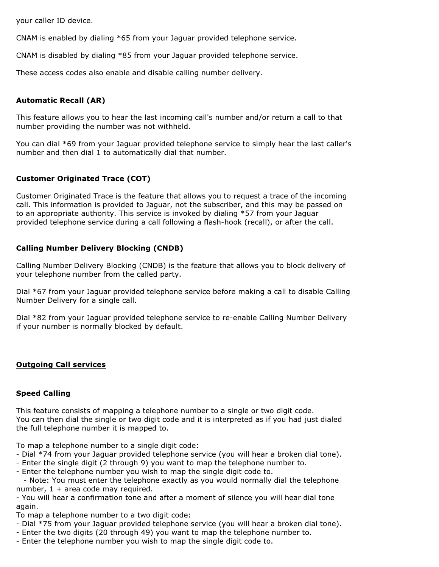your caller ID device.

CNAM is enabled by dialing \*65 from your Jaguar provided telephone service.

CNAM is disabled by dialing \*85 from your Jaguar provided telephone service.

These access codes also enable and disable calling number delivery.

# Automatic Recall (AR)

This feature allows you to hear the last incoming call's number and/or return a call to that number providing the number was not withheld.

You can dial \*69 from your Jaguar provided telephone service to simply hear the last caller's number and then dial 1 to automatically dial that number.

## Customer Originated Trace (COT)

Customer Originated Trace is the feature that allows you to request a trace of the incoming call. This information is provided to Jaguar, not the subscriber, and this may be passed on to an appropriate authority. This service is invoked by dialing \*57 from your Jaguar provided telephone service during a call following a flash-hook (recall), or after the call.

## Calling Number Delivery Blocking (CNDB)

Calling Number Delivery Blocking (CNDB) is the feature that allows you to block delivery of your telephone number from the called party.

Dial \*67 from your Jaguar provided telephone service before making a call to disable Calling Number Delivery for a single call.

Dial \*82 from your Jaguar provided telephone service to re-enable Calling Number Delivery if your number is normally blocked by default.

## Outgoing Call services

#### Speed Calling

This feature consists of mapping a telephone number to a single or two digit code. You can then dial the single or two digit code and it is interpreted as if you had just dialed the full telephone number it is mapped to.

To map a telephone number to a single digit code:

- Dial \*74 from your Jaguar provided telephone service (you will hear a broken dial tone).
- Enter the single digit (2 through 9) you want to map the telephone number to.

- Enter the telephone number you wish to map the single digit code to.

 - Note: You must enter the telephone exactly as you would normally dial the telephone number,  $1 + \text{area code } \text{may required.}$ 

- You will hear a confirmation tone and after a moment of silence you will hear dial tone again.

- To map a telephone number to a two digit code:
- Dial \*75 from your Jaguar provided telephone service (you will hear a broken dial tone).
- Enter the two digits (20 through 49) you want to map the telephone number to.
- Enter the telephone number you wish to map the single digit code to.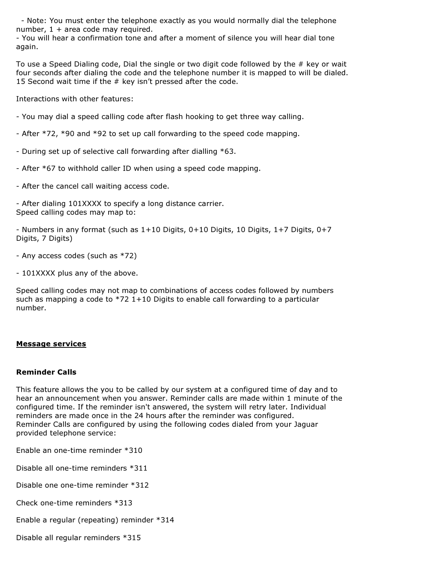- Note: You must enter the telephone exactly as you would normally dial the telephone number,  $1 + \text{area code may required.}$ 

- You will hear a confirmation tone and after a moment of silence you will hear dial tone again.

To use a Speed Dialing code, Dial the single or two digit code followed by the # key or wait four seconds after dialing the code and the telephone number it is mapped to will be dialed. 15 Second wait time if the # key isn't pressed after the code.

Interactions with other features:

- You may dial a speed calling code after flash hooking to get three way calling.
- After \*72, \*90 and \*92 to set up call forwarding to the speed code mapping.
- During set up of selective call forwarding after dialling \*63.
- After \*67 to withhold caller ID when using a speed code mapping.
- After the cancel call waiting access code.

- After dialing 101XXXX to specify a long distance carrier. Speed calling codes may map to:

- Numbers in any format (such as 1+10 Digits, 0+10 Digits, 10 Digits, 1+7 Digits, 0+7 Digits, 7 Digits)

- Any access codes (such as \*72)
- 101XXXX plus any of the above.

Speed calling codes may not map to combinations of access codes followed by numbers such as mapping a code to  $*72$  1+10 Digits to enable call forwarding to a particular number.

#### Message services

#### Reminder Calls

This feature allows the you to be called by our system at a configured time of day and to hear an announcement when you answer. Reminder calls are made within 1 minute of the configured time. If the reminder isn't answered, the system will retry later. Individual reminders are made once in the 24 hours after the reminder was configured. Reminder Calls are configured by using the following codes dialed from your Jaguar provided telephone service:

Enable an one-time reminder \*310

Disable all one-time reminders \*311

Disable one one-time reminder \*312

Check one-time reminders \*313

Enable a regular (repeating) reminder \*314

Disable all regular reminders \*315